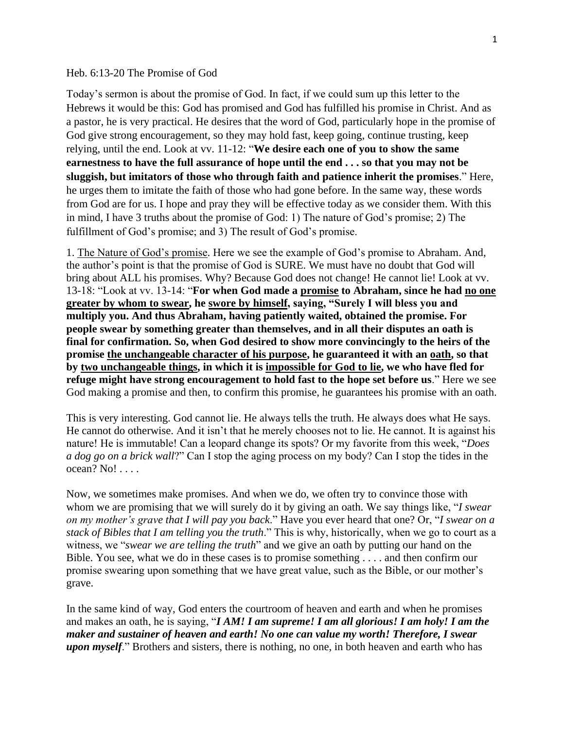## Heb. 6:13-20 The Promise of God

Today's sermon is about the promise of God. In fact, if we could sum up this letter to the Hebrews it would be this: God has promised and God has fulfilled his promise in Christ. And as a pastor, he is very practical. He desires that the word of God, particularly hope in the promise of God give strong encouragement, so they may hold fast, keep going, continue trusting, keep relying, until the end. Look at vv. 11-12: "**We desire each one of you to show the same earnestness to have the full assurance of hope until the end . . . so that you may not be sluggish, but imitators of those who through faith and patience inherit the promises**." Here, he urges them to imitate the faith of those who had gone before. In the same way, these words from God are for us. I hope and pray they will be effective today as we consider them. With this in mind, I have 3 truths about the promise of God: 1) The nature of God's promise; 2) The fulfillment of God's promise; and 3) The result of God's promise.

1. The Nature of God's promise. Here we see the example of God's promise to Abraham. And, the author's point is that the promise of God is SURE. We must have no doubt that God will bring about ALL his promises. Why? Because God does not change! He cannot lie! Look at vv. 13-18: "Look at vv. 13-14: "**For when God made a promise to Abraham, since he had no one greater by whom to swear, he swore by himself, saying, "Surely I will bless you and multiply you. And thus Abraham, having patiently waited, obtained the promise. For people swear by something greater than themselves, and in all their disputes an oath is final for confirmation. So, when God desired to show more convincingly to the heirs of the promise the unchangeable character of his purpose, he guaranteed it with an oath, so that by two unchangeable things, in which it is impossible for God to lie, we who have fled for refuge might have strong encouragement to hold fast to the hope set before us**." Here we see God making a promise and then, to confirm this promise, he guarantees his promise with an oath.

This is very interesting. God cannot lie. He always tells the truth. He always does what He says. He cannot do otherwise. And it isn't that he merely chooses not to lie. He cannot. It is against his nature! He is immutable! Can a leopard change its spots? Or my favorite from this week, "*Does a dog go on a brick wall*?" Can I stop the aging process on my body? Can I stop the tides in the ocean? No! . . . .

Now, we sometimes make promises. And when we do, we often try to convince those with whom we are promising that we will surely do it by giving an oath. We say things like, "*I swear on my mother's grave that I will pay you back*." Have you ever heard that one? Or, "*I swear on a stack of Bibles that I am telling you the truth*." This is why, historically, when we go to court as a witness, we "*swear we are telling the truth*" and we give an oath by putting our hand on the Bible. You see, what we do in these cases is to promise something . . . . and then confirm our promise swearing upon something that we have great value, such as the Bible, or our mother's grave.

In the same kind of way, God enters the courtroom of heaven and earth and when he promises and makes an oath, he is saying, "*I AM! I am supreme! I am all glorious! I am holy! I am the maker and sustainer of heaven and earth! No one can value my worth! Therefore, I swear upon myself*." Brothers and sisters, there is nothing, no one, in both heaven and earth who has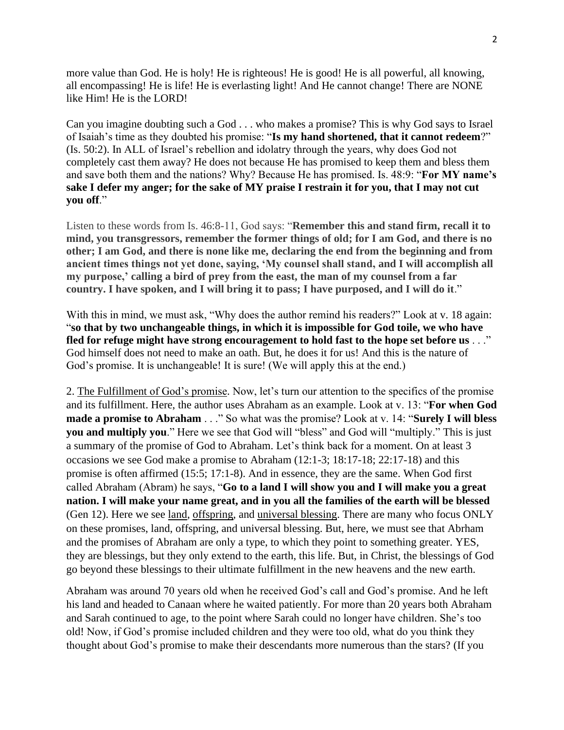more value than God. He is holy! He is righteous! He is good! He is all powerful, all knowing, all encompassing! He is life! He is everlasting light! And He cannot change! There are NONE like Him! He is the LORD!

Can you imagine doubting such a God . . . who makes a promise? This is why God says to Israel of Isaiah's time as they doubted his promise: "**Is my hand shortened, that it cannot redeem**?" (Is. 50:2). In ALL of Israel's rebellion and idolatry through the years, why does God not completely cast them away? He does not because He has promised to keep them and bless them and save both them and the nations? Why? Because He has promised. Is. 48:9: "**For MY name's sake I defer my anger; for the sake of MY praise I restrain it for you, that I may not cut you off**."

Listen to these words from Is. 46:8-11, God says: "**Remember this and stand firm, recall it to mind, you transgressors, remember the former things of old; for I am God, and there is no other; I am God, and there is none like me, declaring the end from the beginning and from ancient times things not yet done, saying, 'My counsel shall stand, and I will accomplish all my purpose,' calling a bird of prey from the east, the man of my counsel from a far country. I have spoken, and I will bring it to pass; I have purposed, and I will do it**."

With this in mind, we must ask, "Why does the author remind his readers?" Look at v. 18 again: "**so that by two unchangeable things, in which it is impossible for God toile, we who have fled for refuge might have strong encouragement to hold fast to the hope set before us** . . ." God himself does not need to make an oath. But, he does it for us! And this is the nature of God's promise. It is unchangeable! It is sure! (We will apply this at the end.)

2. The Fulfillment of God's promise. Now, let's turn our attention to the specifics of the promise and its fulfillment. Here, the author uses Abraham as an example. Look at v. 13: "**For when God made a promise to Abraham** . . ." So what was the promise? Look at v. 14: "**Surely I will bless you and multiply you**." Here we see that God will "bless" and God will "multiply." This is just a summary of the promise of God to Abraham. Let's think back for a moment. On at least 3 occasions we see God make a promise to Abraham (12:1-3; 18:17-18; 22:17-18) and this promise is often affirmed (15:5; 17:1-8). And in essence, they are the same. When God first called Abraham (Abram) he says, "**Go to a land I will show you and I will make you a great nation. I will make your name great, and in you all the families of the earth will be blessed** (Gen 12). Here we see land, offspring, and universal blessing. There are many who focus ONLY on these promises, land, offspring, and universal blessing. But, here, we must see that Abrham and the promises of Abraham are only a type, to which they point to something greater. YES, they are blessings, but they only extend to the earth, this life. But, in Christ, the blessings of God go beyond these blessings to their ultimate fulfillment in the new heavens and the new earth.

Abraham was around 70 years old when he received God's call and God's promise. And he left his land and headed to Canaan where he waited patiently. For more than 20 years both Abraham and Sarah continued to age, to the point where Sarah could no longer have children. She's too old! Now, if God's promise included children and they were too old, what do you think they thought about God's promise to make their descendants more numerous than the stars? (If you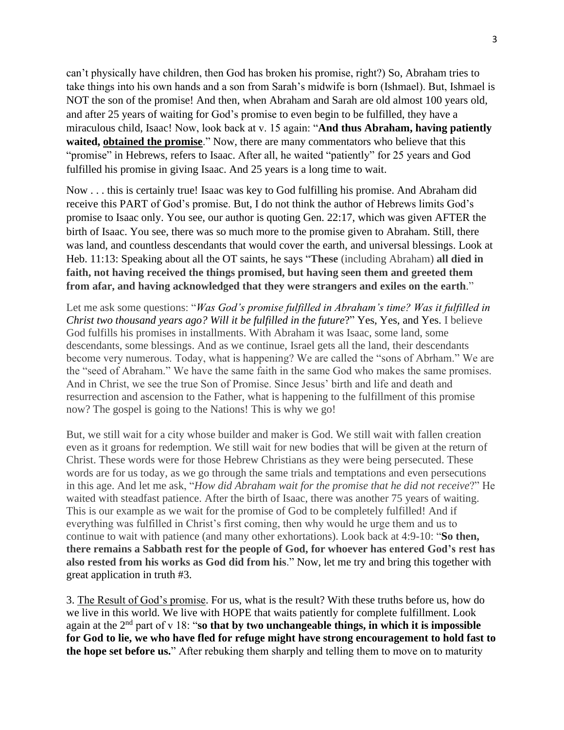can't physically have children, then God has broken his promise, right?) So, Abraham tries to take things into his own hands and a son from Sarah's midwife is born (Ishmael). But, Ishmael is NOT the son of the promise! And then, when Abraham and Sarah are old almost 100 years old, and after 25 years of waiting for God's promise to even begin to be fulfilled, they have a miraculous child, Isaac! Now, look back at v. 15 again: "**And thus Abraham, having patiently waited, obtained the promise**." Now, there are many commentators who believe that this "promise" in Hebrews, refers to Isaac. After all, he waited "patiently" for 25 years and God fulfilled his promise in giving Isaac. And 25 years is a long time to wait.

Now . . . this is certainly true! Isaac was key to God fulfilling his promise. And Abraham did receive this PART of God's promise. But, I do not think the author of Hebrews limits God's promise to Isaac only. You see, our author is quoting Gen. 22:17, which was given AFTER the birth of Isaac. You see, there was so much more to the promise given to Abraham. Still, there was land, and countless descendants that would cover the earth, and universal blessings. Look at Heb. 11:13: Speaking about all the OT saints, he says "**These** (including Abraham) **all died in faith, not having received the things promised, but having seen them and greeted them from afar, and having acknowledged that they were strangers and exiles on the earth**."

Let me ask some questions: "*Was God's promise fulfilled in Abraham's time? Was it fulfilled in Christ two thousand years ago? Will it be fulfilled in the future*?" Yes, Yes, and Yes. I believe God fulfills his promises in installments. With Abraham it was Isaac, some land, some descendants, some blessings. And as we continue, Israel gets all the land, their descendants become very numerous. Today, what is happening? We are called the "sons of Abrham." We are the "seed of Abraham." We have the same faith in the same God who makes the same promises. And in Christ, we see the true Son of Promise. Since Jesus' birth and life and death and resurrection and ascension to the Father, what is happening to the fulfillment of this promise now? The gospel is going to the Nations! This is why we go!

But, we still wait for a city whose builder and maker is God. We still wait with fallen creation even as it groans for redemption. We still wait for new bodies that will be given at the return of Christ. These words were for those Hebrew Christians as they were being persecuted. These words are for us today, as we go through the same trials and temptations and even persecutions in this age. And let me ask, "*How did Abraham wait for the promise that he did not receive*?" He waited with steadfast patience. After the birth of Isaac, there was another 75 years of waiting. This is our example as we wait for the promise of God to be completely fulfilled! And if everything was fulfilled in Christ's first coming, then why would he urge them and us to continue to wait with patience (and many other exhortations). Look back at 4:9-10: "**So then, there remains a Sabbath rest for the people of God, for whoever has entered God's rest has also rested from his works as God did from his**." Now, let me try and bring this together with great application in truth #3.

3. The Result of God's promise. For us, what is the result? With these truths before us, how do we live in this world. We live with HOPE that waits patiently for complete fulfillment. Look again at the 2nd part of v 18: "**so that by two unchangeable things, in which it is impossible for God to lie, we who have fled for refuge might have strong encouragement to hold fast to the hope set before us.**" After rebuking them sharply and telling them to move on to maturity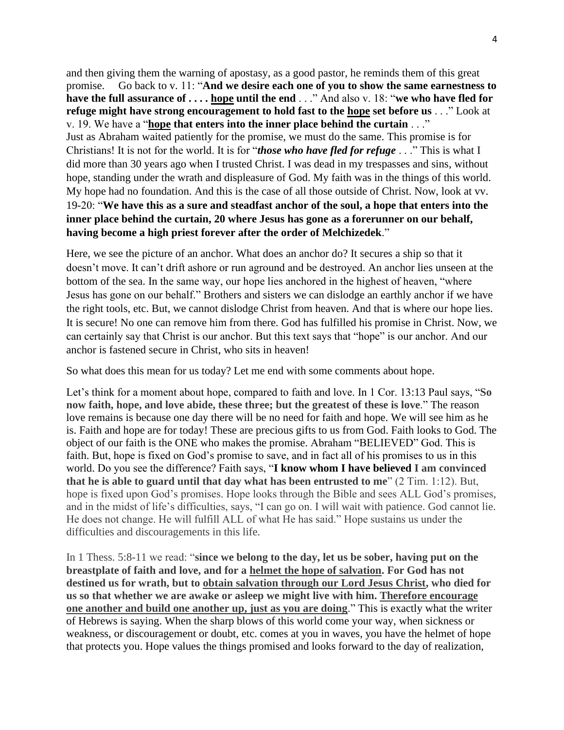and then giving them the warning of apostasy, as a good pastor, he reminds them of this great promise. Go back to v. 11: "**And we desire each one of you to show the same earnestness to have the full assurance of . . . . hope until the end** . . ." And also v. 18: "**we who have fled for refuge might have strong encouragement to hold fast to the hope set before us** . . ." Look at v. 19. We have a "**hope that enters into the inner place behind the curtain** . . ." Just as Abraham waited patiently for the promise, we must do the same. This promise is for Christians! It is not for the world. It is for "*those who have fled for refuge* . . ." This is what I did more than 30 years ago when I trusted Christ. I was dead in my trespasses and sins, without hope, standing under the wrath and displeasure of God. My faith was in the things of this world. My hope had no foundation. And this is the case of all those outside of Christ. Now, look at vv. 19-20: "**We have this as a sure and steadfast anchor of the soul, a hope that enters into the inner place behind the curtain, 20 where Jesus has gone as a forerunner on our behalf, having become a high priest forever after the order of Melchizedek**."

Here, we see the picture of an anchor. What does an anchor do? It secures a ship so that it doesn't move. It can't drift ashore or run aground and be destroyed. An anchor lies unseen at the bottom of the sea. In the same way, our hope lies anchored in the highest of heaven, "where Jesus has gone on our behalf." Brothers and sisters we can dislodge an earthly anchor if we have the right tools, etc. But, we cannot dislodge Christ from heaven. And that is where our hope lies. It is secure! No one can remove him from there. God has fulfilled his promise in Christ. Now, we can certainly say that Christ is our anchor. But this text says that "hope" is our anchor. And our anchor is fastened secure in Christ, who sits in heaven!

So what does this mean for us today? Let me end with some comments about hope.

Let's think for a moment about hope, compared to faith and love. In 1 Cor. 13:13 Paul says, "**So now faith, hope, and love abide, these three; but the greatest of these is love**." The reason love remains is because one day there will be no need for faith and hope. We will see him as he is. Faith and hope are for today! These are precious gifts to us from God. Faith looks to God. The object of our faith is the ONE who makes the promise. Abraham "BELIEVED" God. This is faith. But, hope is fixed on God's promise to save, and in fact all of his promises to us in this world. Do you see the difference? Faith says, "**I know whom I have believed I am convinced that he is able to guard until that day what has been entrusted to me**" (2 Tim. 1:12). But, hope is fixed upon God's promises. Hope looks through the Bible and sees ALL God's promises, and in the midst of life's difficulties, says, "I can go on. I will wait with patience. God cannot lie. He does not change. He will fulfill ALL of what He has said." Hope sustains us under the difficulties and discouragements in this life.

In 1 Thess. 5:8-11 we read: "**since we belong to the day, let us be sober, having put on the breastplate of faith and love, and for a helmet the hope of salvation. For God has not destined us for wrath, but to obtain salvation through our Lord Jesus Christ, who died for us so that whether we are awake or asleep we might live with him. Therefore encourage one another and build one another up, just as you are doing**." This is exactly what the writer of Hebrews is saying. When the sharp blows of this world come your way, when sickness or weakness, or discouragement or doubt, etc. comes at you in waves, you have the helmet of hope that protects you. Hope values the things promised and looks forward to the day of realization,